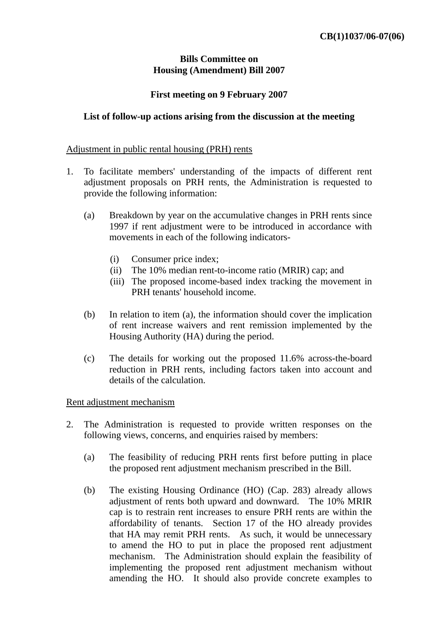### **Bills Committee on Housing (Amendment) Bill 2007**

# **First meeting on 9 February 2007**

# **List of follow-up actions arising from the discussion at the meeting**

#### Adjustment in public rental housing (PRH) rents

- 1. To facilitate members' understanding of the impacts of different rent adjustment proposals on PRH rents, the Administration is requested to provide the following information:
	- (a) Breakdown by year on the accumulative changes in PRH rents since 1997 if rent adjustment were to be introduced in accordance with movements in each of the following indicators-
		- (i) Consumer price index;
		- (ii) The 10% median rent-to-income ratio (MRIR) cap; and
		- (iii) The proposed income-based index tracking the movement in PRH tenants' household income.
	- (b) In relation to item (a), the information should cover the implication of rent increase waivers and rent remission implemented by the Housing Authority (HA) during the period.
	- (c) The details for working out the proposed 11.6% across-the-board reduction in PRH rents, including factors taken into account and details of the calculation.

#### Rent adjustment mechanism

- 2. The Administration is requested to provide written responses on the following views, concerns, and enquiries raised by members:
	- (a) The feasibility of reducing PRH rents first before putting in place the proposed rent adjustment mechanism prescribed in the Bill.
	- (b) The existing Housing Ordinance (HO) (Cap. 283) already allows adjustment of rents both upward and downward. The 10% MRIR cap is to restrain rent increases to ensure PRH rents are within the affordability of tenants. Section 17 of the HO already provides that HA may remit PRH rents. As such, it would be unnecessary to amend the HO to put in place the proposed rent adjustment mechanism. The Administration should explain the feasibility of implementing the proposed rent adjustment mechanism without amending the HO. It should also provide concrete examples to